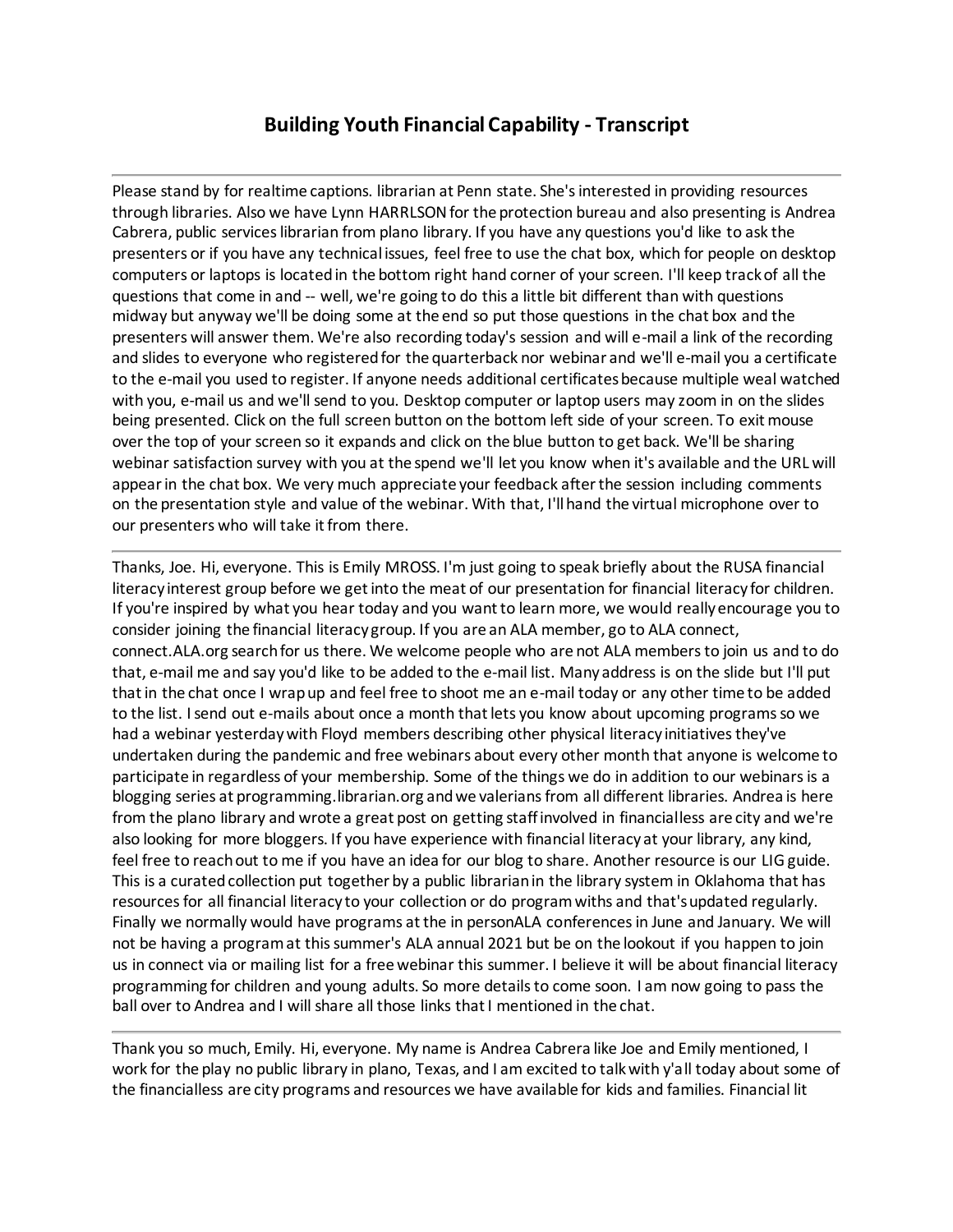## **Building Youth Financial Capability - Transcript**

Please stand by for realtime captions. librarian at Penn state. She's interested in providing resources through libraries. Also we have Lynn HARRLSON for the protection bureau and also presenting is Andrea Cabrera, public services librarian from plano library. If you have any questions you'd like to ask the presenters or if you have any technical issues, feel free to use the chat box, which for people on desktop computers or laptops is located in the bottom right hand corner of your screen. I'll keep track of all the questions that come in and -- well, we're going to do this a little bit different than with questions midway but anyway we'll be doing some at the end so put those questions in the chat box and the presenters will answer them. We're also recording today's session and will e-mail a link of the recording and slides to everyone who registered for the quarterback nor webinar and we'll e-mail you a certificate to the e-mail you used to register. If anyone needs additional certificates because multiple weal watched with you, e-mail us and we'll send to you. Desktop computer or laptop users may zoom in on the slides being presented. Click on the full screen button on the bottom left side of your screen. To exit mouse over the top of your screen so it expands and click on the blue button to get back. We'll be sharing webinar satisfaction survey with you at the spend we'll let you know when it's available and the URL will appear in the chat box. We very much appreciate your feedback after the session including comments on the presentation style and value of the webinar. With that, I'll hand the virtual microphone over to our presenters who will take it from there.

Thanks, Joe. Hi, everyone. This is Emily MROSS. I'm just going to speak briefly about the RUSA financial literacy interest group before we get into the meat of our presentation for financial literacy for children. If you're inspired by what you hear today and you want to learn more, we would really encourage you to consider joining the financial literacy group. If you are an ALA member, go to ALA connect, connect.ALA.org search for us there. We welcome people who are not ALA members to join us and to do that, e-mail me and say you'd like to be added to the e-mail list. Many address is on the slide but I'll put that in the chat once I wrap up and feel free to shoot me an e-mail today or any other time to be added to the list. I send out e-mails about once a month that lets you know about upcoming programs so we had a webinar yesterday with Floyd members describing other physical literacy initiatives they've undertaken during the pandemic and free webinars about every other month that anyone is welcome to participate in regardless of your membership. Some of the things we do in addition to our webinars is a blogging series at programming.librarian.org and we valerians from all different libraries. Andrea is here from the plano library and wrote a great post on getting staff involved in financialless are city and we're also looking for more bloggers. If you have experience with financial literacy at your library, any kind, feel free to reach out to me if you have an idea for our blog to share. Another resource is our LIG guide. This is a curated collection put together by a public librarian in the library system in Oklahoma that has resources for all financial literacy to your collection or do program withs and that's updated regularly. Finally we normally would have programs at the in personALA conferences in June and January. We will not be having a program at this summer's ALA annual 2021 but be on the lookout if you happen to join us in connect via or mailing list for a free webinar this summer. I believe it will be about financial literacy programming for children and young adults. So more details to come soon. I am now going to pass the ball over to Andrea and I will share all those links that I mentioned in the chat.

Thank you so much, Emily. Hi, everyone. My name is Andrea Cabrera like Joe and Emily mentioned, I work for the play no public library in plano, Texas, and I am excited to talk with y'all today about some of the financialless are city programs and resources we have available for kids and families. Financial lit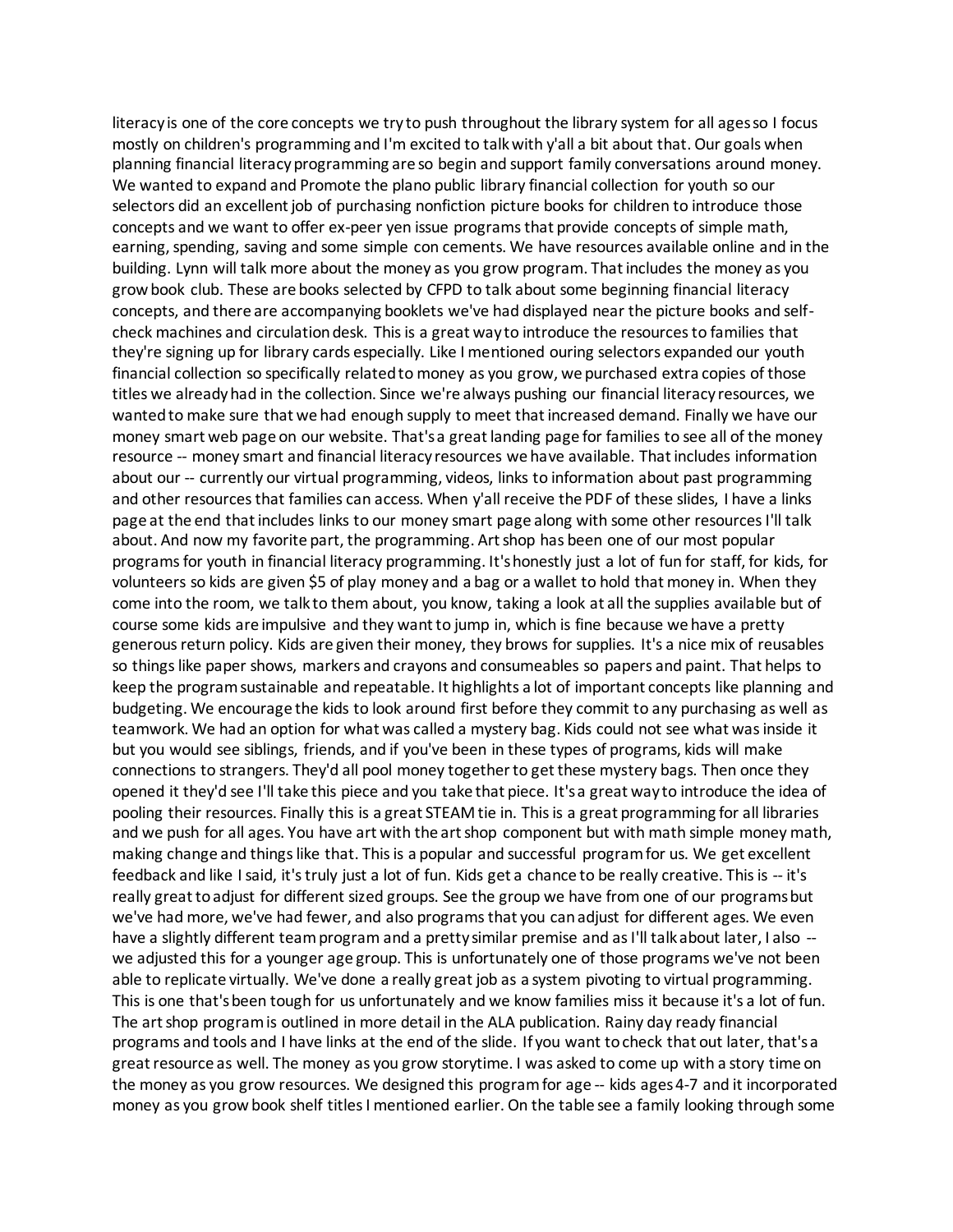literacy is one of the core concepts we try to push throughout the library system for all ages so I focus mostly on children's programming and I'm excited to talk with y'all a bit about that. Our goals when planning financial literacy programming are so begin and support family conversations around money. We wanted to expand and Promote the plano public library financial collection for youth so our selectors did an excellent job of purchasing nonfiction picture books for children to introduce those concepts and we want to offer ex-peer yen issue programs that provide concepts of simple math, earning, spending, saving and some simple con cements. We have resources available online and in the building. Lynn will talk more about the money as you grow program. That includes the money as you grow book club. These are books selected by CFPD to talk about some beginning financial literacy concepts, and there are accompanying booklets we've had displayed near the picture books and selfcheck machines and circulation desk. This is a great way to introduce the resources to families that they're signing up for library cards especially. Like I mentioned ouring selectors expanded our youth financial collection so specifically related to money as you grow, we purchased extra copies of those titles we already had in the collection. Since we're always pushing our financial literacy resources, we wanted to make sure that we had enough supply to meet that increased demand. Finally we have our money smart web page on our website. That's a great landing page for families to see all of the money resource -- money smart and financial literacy resources we have available. That includes information about our -- currently our virtual programming, videos, links to information about past programming and other resources that families can access. When y'all receive the PDF of these slides, I have a links page at the end that includes links to our money smart page along with some other resources I'll talk about. And now my favorite part, the programming. Art shop has been one of our most popular programs for youth in financial literacy programming. It's honestly just a lot of fun for staff, for kids, for volunteers so kids are given \$5 of play money and a bag or a wallet to hold that money in. When they come into the room, we talk to them about, you know, taking a look at all the supplies available but of course some kids are impulsive and they want to jump in, which is fine because we have a pretty generous return policy. Kids are given their money, they brows for supplies. It's a nice mix of reusables so things like paper shows, markers and crayons and consumeables so papers and paint. That helps to keep the program sustainable and repeatable. It highlights a lot of important concepts like planning and budgeting. We encourage the kids to look around first before they commit to any purchasing as well as teamwork. We had an option for what was called a mystery bag. Kids could not see what was inside it but you would see siblings, friends, and if you've been in these types of programs, kids will make connections to strangers. They'd all pool money together to get these mystery bags. Then once they opened it they'd see I'll take this piece and you take that piece. It's a great way to introduce the idea of pooling their resources. Finally this is a great STEAM tie in. This is a great programming for all libraries and we push for all ages. You have art with the art shop component but with math simple money math, making change and things like that. This is a popular and successful program for us. We get excellent feedback and like I said, it's truly just a lot of fun. Kids get a chance to be really creative. This is -- it's really great to adjust for different sized groups. See the group we have from one of our programs but we've had more, we've had fewer, and also programs that you can adjust for different ages. We even have a slightly different team program and a pretty similar premise and as I'll talk about later, I also -we adjusted this for a younger age group. This is unfortunately one of those programs we've not been able to replicate virtually. We've done a really great job as a system pivoting to virtual programming. This is one that's been tough for us unfortunately and we know families miss it because it's a lot of fun. The art shop program is outlined in more detail in the ALA publication. Rainy day ready financial programs and tools and I have links at the end of the slide. If you want to check that out later, that's a great resource as well. The money as you grow storytime. I was asked to come up with a story time on the money as you grow resources. We designed this program for age -- kids ages 4-7 and it incorporated money as you grow book shelf titles I mentioned earlier. On the table see a family looking through some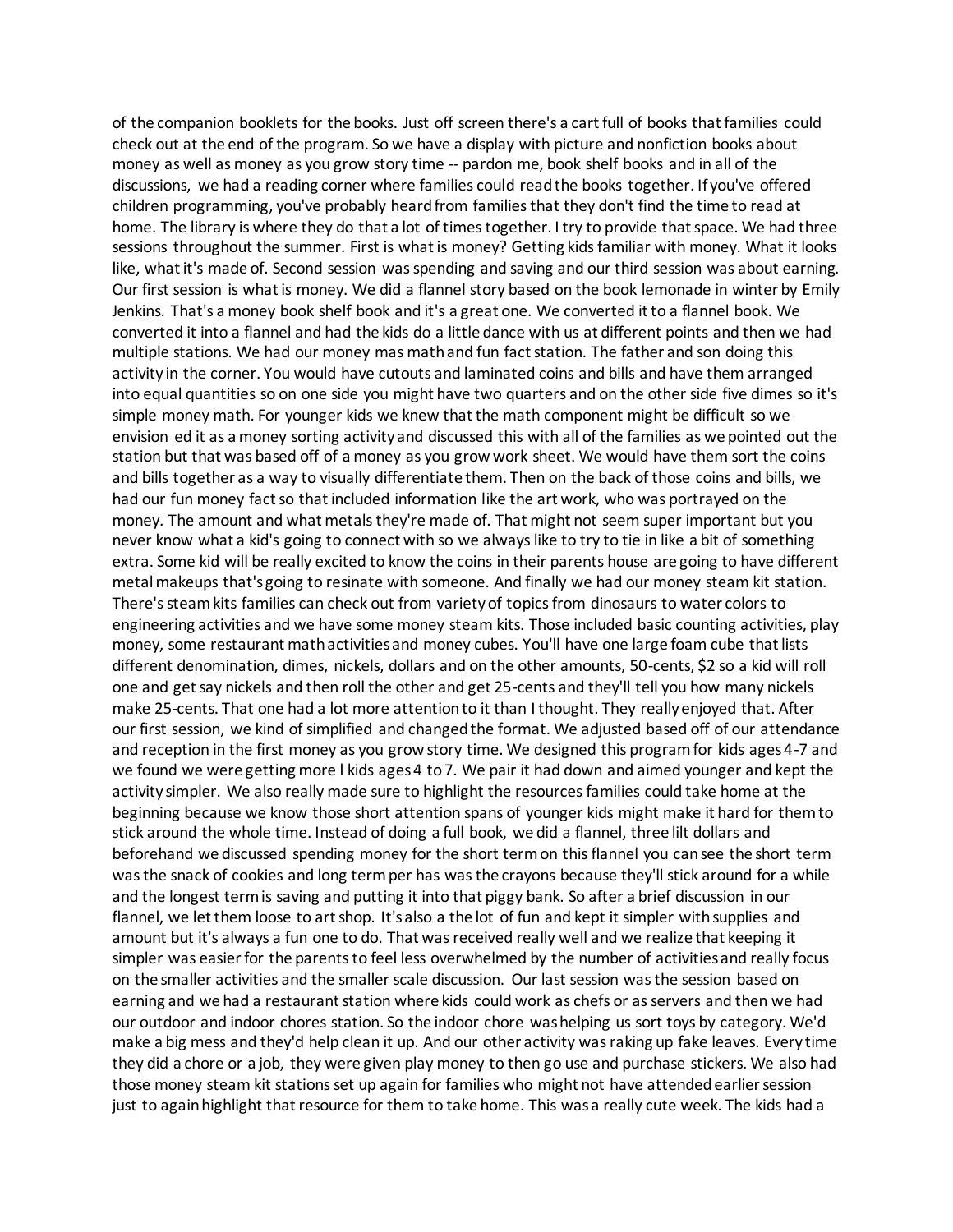of the companion booklets for the books. Just off screen there's a cart full of books that families could check out at the end of the program. So we have a display with picture and nonfiction books about money as well as money as you grow story time -- pardon me, book shelf books and in all of the discussions, we had a reading corner where families could read the books together. If you've offered children programming, you've probably heard from families that they don't find the time to read at home. The library is where they do that a lot of times together. I try to provide that space. We had three sessions throughout the summer. First is what is money? Getting kids familiar with money. What it looks like, what it's made of. Second session was spending and saving and our third session was about earning. Our first session is what is money. We did a flannel story based on the book lemonade in winter by Emily Jenkins. That's a money book shelf book and it's a great one. We converted it to a flannel book. We converted it into a flannel and had the kids do a little dance with us at different points and then we had multiple stations. We had our money mas math and fun fact station. The father and son doing this activity in the corner. You would have cutouts and laminated coins and bills and have them arranged into equal quantities so on one side you might have two quarters and on the other side five dimes so it's simple money math. For younger kids we knew that the math component might be difficult so we envision ed it as a money sorting activity and discussed this with all of the families as we pointed out the station but that was based off of a money as you grow work sheet. We would have them sort the coins and bills together as a way to visually differentiate them. Then on the back of those coins and bills, we had our fun money fact so that included information like the art work, who was portrayed on the money. The amount and what metals they're made of. That might not seem super important but you never know what a kid's going to connect with so we always like to try to tie in like a bit of something extra. Some kid will be really excited to know the coins in their parents house are going to have different metal makeups that's going to resinate with someone. And finally we had our money steam kit station. There's steam kits families can check out from variety of topics from dinosaurs to water colors to engineering activities and we have some money steam kits. Those included basic counting activities, play money, some restaurant math activities and money cubes. You'll have one large foam cube that lists different denomination, dimes, nickels, dollars and on the other amounts, 50-cents, \$2 so a kid will roll one and get say nickels and then roll the other and get 25-cents and they'll tell you how many nickels make 25-cents. That one had a lot more attention to it than I thought. They really enjoyed that. After our first session, we kind of simplified and changed the format. We adjusted based off of our attendance and reception in the first money as you grow story time. We designed this program for kids ages 4-7 and we found we were getting more l kids ages 4 to 7. We pair it had down and aimed younger and kept the activity simpler. We also really made sure to highlight the resources families could take home at the beginning because we know those short attention spans of younger kids might make it hard for them to stick around the whole time. Instead of doing a full book, we did a flannel, three lilt dollars and beforehand we discussed spending money for the short term on this flannel you can see the short term was the snack of cookies and long term per has was the crayons because they'll stick around for a while and the longest term is saving and putting it into that piggy bank. So after a brief discussion in our flannel, we let them loose to art shop. It's also a the lot of fun and kept it simpler with supplies and amount but it's always a fun one to do. That was received really well and we realize that keeping it simpler was easier for the parents to feel less overwhelmed by the number of activities and really focus on the smaller activities and the smaller scale discussion. Our last session was the session based on earning and we had a restaurant station where kids could work as chefs or as servers and then we had our outdoor and indoor chores station. So the indoor chore was helping us sort toys by category. We'd make a big mess and they'd help clean it up. And our other activity was raking up fake leaves. Every time they did a chore or a job, they were given play money to then go use and purchase stickers. We also had those money steam kit stations set up again for families who might not have attended earlier session just to again highlight that resource for them to take home. This was a really cute week. The kids had a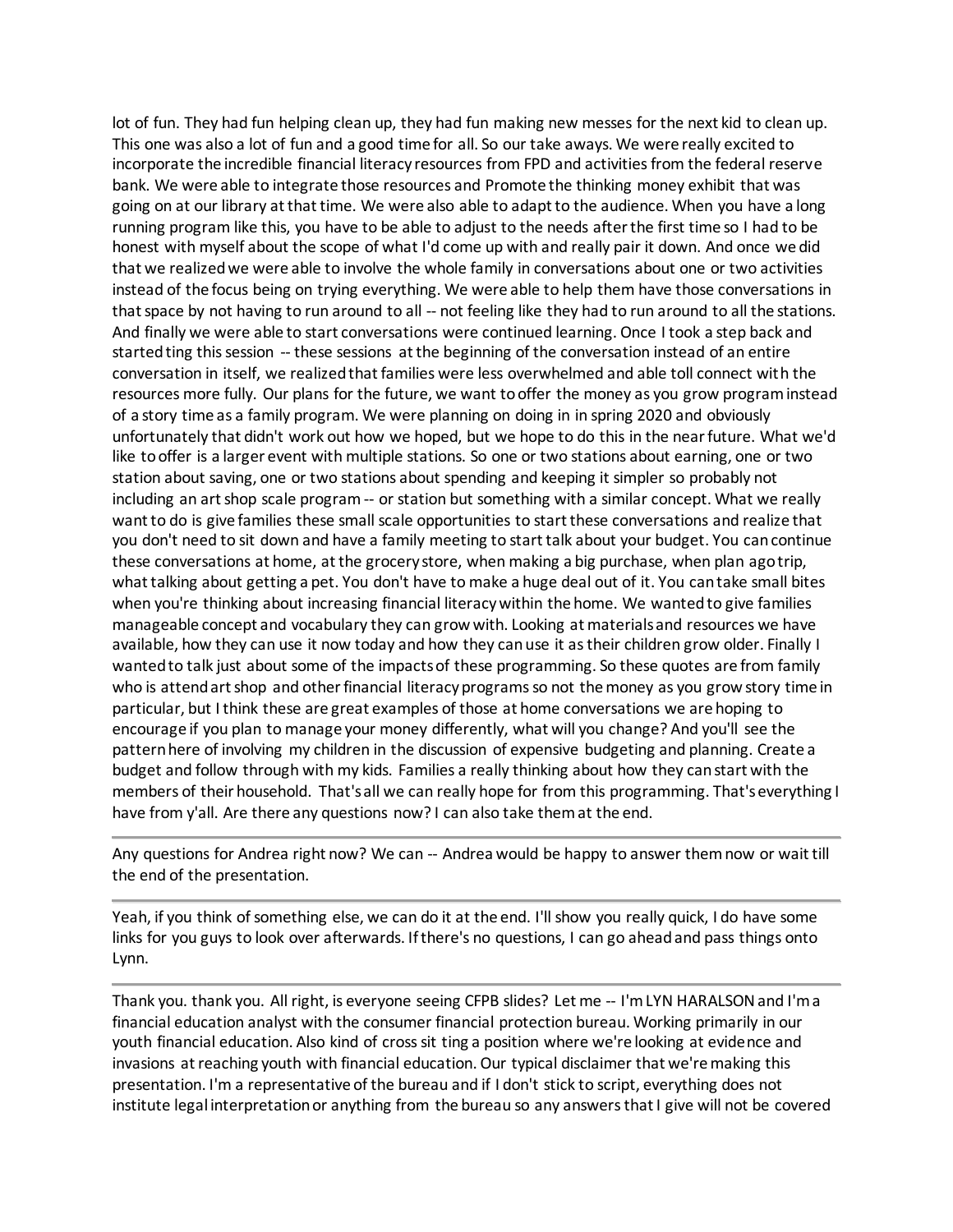lot of fun. They had fun helping clean up, they had fun making new messes for the next kid to clean up. This one was also a lot of fun and a good time for all. So our take aways. We were really excited to incorporate the incredible financial literacy resources from FPD and activities from the federal reserve bank. We were able to integrate those resources and Promote the thinking money exhibit that was going on at our library at that time. We were also able to adapt to the audience. When you have a long running program like this, you have to be able to adjust to the needs after the first time so I had to be honest with myself about the scope of what I'd come up with and really pair it down. And once we did that we realized we were able to involve the whole family in conversations about one or two activities instead of the focus being on trying everything. We were able to help them have those conversations in that space by not having to run around to all -- not feeling like they had to run around to all the stations. And finally we were able to start conversations were continued learning. Once I took a step back and started ting this session -- these sessions at the beginning of the conversation instead of an entire conversation in itself, we realized that families were less overwhelmed and able toll connect with the resources more fully. Our plans for the future, we want to offer the money as you grow program instead of a story time as a family program. We were planning on doing in in spring 2020 and obviously unfortunately that didn't work out how we hoped, but we hope to do this in the near future. What we'd like to offer is a larger event with multiple stations. So one or two stations about earning, one or two station about saving, one or two stations about spending and keeping it simpler so probably not including an art shop scale program -- or station but something with a similar concept. What we really want to do is give families these small scale opportunities to start these conversations and realize that you don't need to sit down and have a family meeting to start talk about your budget. You can continue these conversations at home, at the grocery store, when making a big purchase, when plan ago trip, what talking about getting a pet. You don't have to make a huge deal out of it. You can take small bites when you're thinking about increasing financial literacy within the home. We wanted to give families manageable concept and vocabulary they can grow with. Looking at materials and resources we have available, how they can use it now today and how they can use it as their children grow older. Finally I wanted to talk just about some of the impacts of these programming. So these quotes are from family who is attend art shop and other financial literacy programs so not the money as you grow story time in particular, but I think these are great examples of those at home conversations we are hoping to encourage if you plan to manage your money differently, what will you change? And you'll see the pattern here of involving my children in the discussion of expensive budgeting and planning. Create a budget and follow through with my kids. Families a really thinking about how they can start with the members of their household. That's all we can really hope for from this programming. That's everything I have from y'all. Are there any questions now? I can also take them at the end.

Any questions for Andrea right now? We can -- Andrea would be happy to answer them now or wait till the end of the presentation.

Yeah, if you think of something else, we can do it at the end. I'll show you really quick, I do have some links for you guys to look over afterwards. If there's no questions, I can go ahead and pass things onto Lynn.

Thank you. thank you. All right, is everyone seeing CFPB slides? Let me -- I'm LYN HARALSON and I'm a financial education analyst with the consumer financial protection bureau. Working primarily in our youth financial education. Also kind of cross sit ting a position where we're looking at evidence and invasions at reaching youth with financial education. Our typical disclaimer that we're making this presentation. I'm a representative of the bureau and if I don't stick to script, everything does not institute legal interpretation or anything from the bureau so any answers that I give will not be covered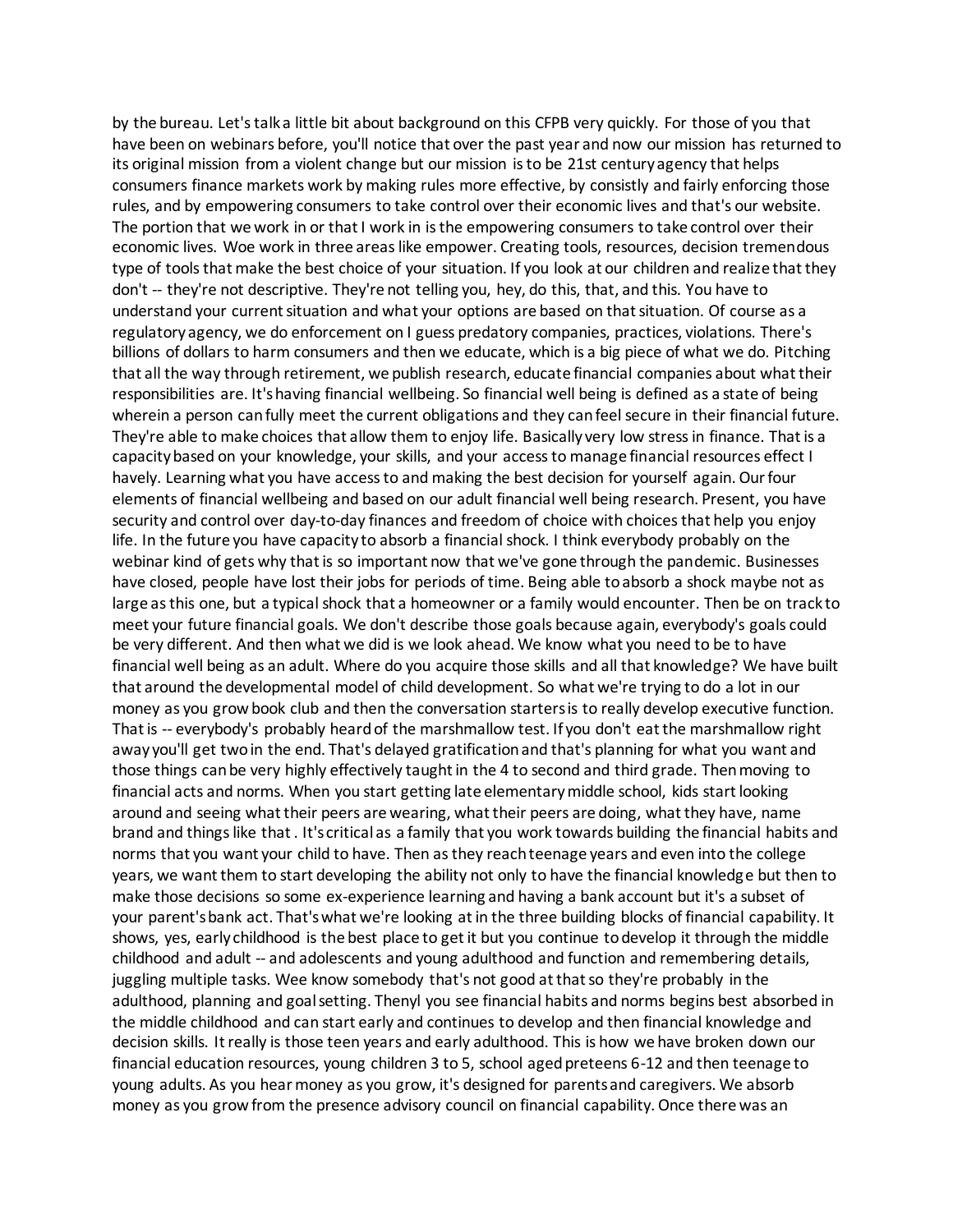by the bureau. Let's talk a little bit about background on this CFPB very quickly. For those of you that have been on webinars before, you'll notice that over the past year and now our mission has returned to its original mission from a violent change but our mission is to be 21st century agency that helps consumers finance markets work by making rules more effective, by consistly and fairly enforcing those rules, and by empowering consumers to take control over their economic lives and that's our website. The portion that we work in or that I work in is the empowering consumers to take control over their economic lives. Woe work in three areas like empower. Creating tools, resources, decision tremendous type of tools that make the best choice of your situation. If you look at our children and realize that they don't -- they're not descriptive. They're not telling you, hey, do this, that, and this. You have to understand your current situation and what your options are based on that situation. Of course as a regulatory agency, we do enforcement on I guess predatory companies, practices, violations. There's billions of dollars to harm consumers and then we educate, which is a big piece of what we do. Pitching that all the way through retirement, we publish research, educate financial companies about what their responsibilities are. It's having financial wellbeing. So financial well being is defined as a state of being wherein a person can fully meet the current obligations and they can feel secure in their financial future. They're able to make choices that allow them to enjoy life. Basically very low stress in finance. That is a capacity based on your knowledge, your skills, and your access to manage financial resources effect I havely. Learning what you have access to and making the best decision for yourself again. Our four elements of financial wellbeing and based on our adult financial well being research. Present, you have security and control over day-to-day finances and freedom of choice with choices that help you enjoy life. In the future you have capacity to absorb a financial shock. I think everybody probably on the webinar kind of gets why that is so important now that we've gone through the pandemic. Businesses have closed, people have lost their jobs for periods of time. Being able to absorb a shock maybe not as large as this one, but a typical shock that a homeowner or a family would encounter. Then be on track to meet your future financial goals. We don't describe those goals because again, everybody's goals could be very different. And then what we did is we look ahead. We know what you need to be to have financial well being as an adult. Where do you acquire those skills and all that knowledge? We have built that around the developmental model of child development. So what we're trying to do a lot in our money as you grow book club and then the conversation starters is to really develop executive function. That is -- everybody's probably heard of the marshmallow test. If you don't eat the marshmallow right away you'll get two in the end. That's delayed gratification and that's planning for what you want and those things can be very highly effectively taught in the 4 to second and third grade. Then moving to financial acts and norms. When you start getting late elementary middle school, kids start looking around and seeing what their peers are wearing, what their peers are doing, what they have, name brand and things like that . It's critical as a family that you work towards building the financial habits and norms that you want your child to have. Then as they reach teenage years and even into the college years, we want them to start developing the ability not only to have the financial knowledge but then to make those decisions so some ex-experience learning and having a bank account but it's a subset of your parent's bank act. That's what we're looking at in the three building blocks of financial capability. It shows, yes, early childhood is the best place to get it but you continue to develop it through the middle childhood and adult -- and adolescents and young adulthood and function and remembering details, juggling multiple tasks. Wee know somebody that's not good at that so they're probably in the adulthood, planning and goal setting. Thenyl you see financial habits and norms begins best absorbed in the middle childhood and can start early and continues to develop and then financial knowledge and decision skills. It really is those teen years and early adulthood. This is how we have broken down our financial education resources, young children 3 to 5, school aged preteens 6-12 and then teenage to young adults. As you hear money as you grow, it's designed for parents and caregivers. We absorb money as you grow from the presence advisory council on financial capability. Once there was an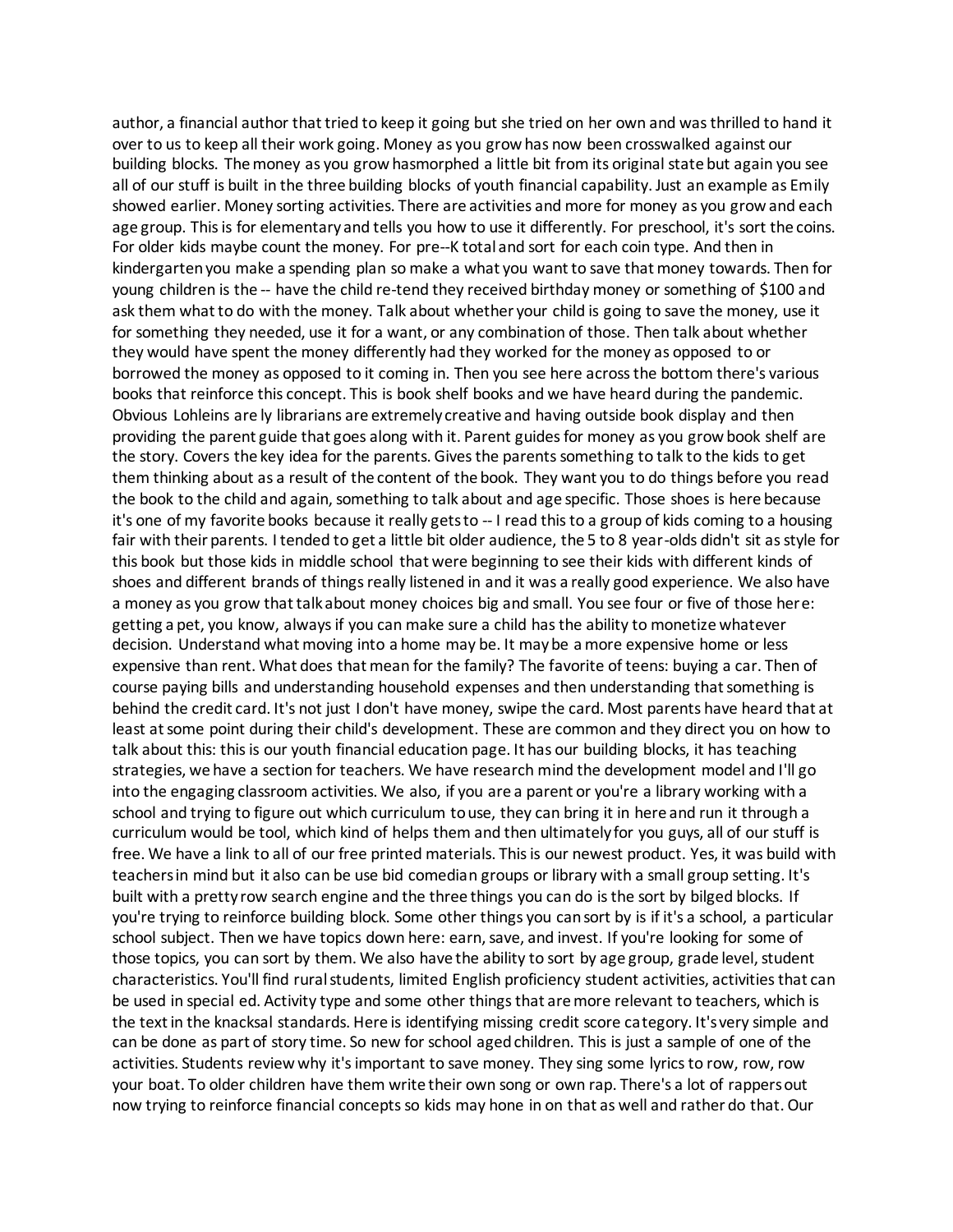author, a financial author that tried to keep it going but she tried on her own and was thrilled to hand it over to us to keep all their work going. Money as you grow has now been crosswalked against our building blocks. The money as you grow hasmorphed a little bit from its original state but again you see all of our stuff is built in the three building blocks of youth financial capability. Just an example as Emily showed earlier. Money sorting activities. There are activities and more for money as you grow and each age group. This is for elementary and tells you how to use it differently. For preschool, it's sort the coins. For older kids maybe count the money. For pre--K total and sort for each coin type. And then in kindergarten you make a spending plan so make a what you want to save that money towards. Then for young children is the -- have the child re-tend they received birthday money or something of \$100 and ask them what to do with the money. Talk about whether your child is going to save the money, use it for something they needed, use it for a want, or any combination of those. Then talk about whether they would have spent the money differently had they worked for the money as opposed to or borrowed the money as opposed to it coming in. Then you see here across the bottom there's various books that reinforce this concept. This is book shelf books and we have heard during the pandemic. Obvious Lohleins are ly librarians are extremely creative and having outside book display and then providing the parent guide that goes along with it. Parent guides for money as you grow book shelf are the story. Covers the key idea for the parents. Gives the parents something to talk to the kids to get them thinking about as a result of the content of the book. They want you to do things before you read the book to the child and again, something to talk about and age specific. Those shoes is here because it's one of my favorite books because it really gets to -- I read this to a group of kids coming to a housing fair with their parents. I tended to get a little bit older audience, the 5 to 8 year-olds didn't sit as style for this book but those kids in middle school that were beginning to see their kids with different kinds of shoes and different brands of things really listened in and it was a really good experience. We also have a money as you grow that talk about money choices big and small. You see four or five of those here: getting a pet, you know, always if you can make sure a child has the ability to monetize whatever decision. Understand what moving into a home may be. It may be a more expensive home or less expensive than rent. What does that mean for the family? The favorite of teens: buying a car. Then of course paying bills and understanding household expenses and then understanding that something is behind the credit card. It's not just I don't have money, swipe the card. Most parents have heard that at least at some point during their child's development. These are common and they direct you on how to talk about this: this is our youth financial education page. It has our building blocks, it has teaching strategies, we have a section for teachers. We have research mind the development model and I'll go into the engaging classroom activities. We also, if you are a parent or you're a library working with a school and trying to figure out which curriculum to use, they can bring it in here and run it through a curriculum would be tool, which kind of helps them and then ultimately for you guys, all of our stuff is free. We have a link to all of our free printed materials. This is our newest product. Yes, it was build with teachers in mind but it also can be use bid comedian groups or library with a small group setting. It's built with a pretty row search engine and the three things you can do is the sort by bilged blocks. If you're trying to reinforce building block. Some other things you can sort by is if it's a school, a particular school subject. Then we have topics down here: earn, save, and invest. If you're looking for some of those topics, you can sort by them. We also have the ability to sort by age group, grade level, student characteristics. You'll find rural students, limited English proficiency student activities, activities that can be used in special ed. Activity type and some other things that are more relevant to teachers, which is the text in the knacksal standards. Here is identifying missing credit score category. It's very simple and can be done as part of story time. So new for school aged children. This is just a sample of one of the activities. Students review why it's important to save money. They sing some lyrics to row, row, row your boat. To older children have them write their own song or own rap. There's a lot of rappers out now trying to reinforce financial concepts so kids may hone in on that as well and rather do that. Our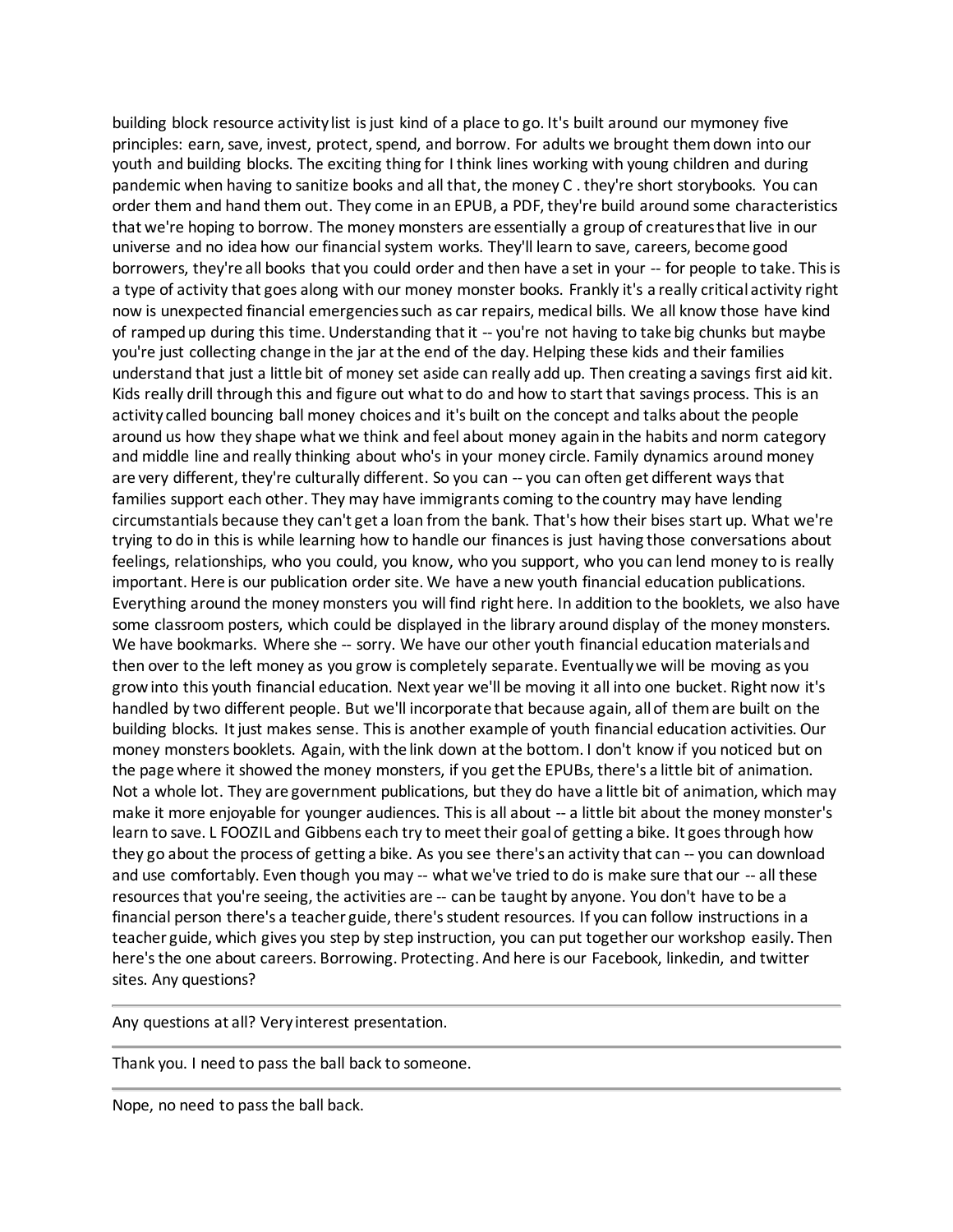building block resource activity list is just kind of a place to go. It's built around our mymoney five principles: earn, save, invest, protect, spend, and borrow. For adults we brought them down into our youth and building blocks. The exciting thing for I think lines working with young children and during pandemic when having to sanitize books and all that, the money C . they're short storybooks. You can order them and hand them out. They come in an EPUB, a PDF, they're build around some characteristics that we're hoping to borrow. The money monsters are essentially a group of creatures that live in our universe and no idea how our financial system works. They'll learn to save, careers, become good borrowers, they're all books that you could order and then have a set in your -- for people to take. This is a type of activity that goes along with our money monster books. Frankly it's a really critical activity right now is unexpected financial emergencies such as car repairs, medical bills. We all know those have kind of ramped up during this time. Understanding that it -- you're not having to take big chunks but maybe you're just collecting change in the jar at the end of the day. Helping these kids and their families understand that just a little bit of money set aside can really add up. Then creating a savings first aid kit. Kids really drill through this and figure out what to do and how to start that savings process. This is an activity called bouncing ball money choices and it's built on the concept and talks about the people around us how they shape what we think and feel about money again in the habits and norm category and middle line and really thinking about who's in your money circle. Family dynamics around money are very different, they're culturally different. So you can -- you can often get different ways that families support each other. They may have immigrants coming to the country may have lending circumstantials because they can't get a loan from the bank. That's how their bises start up. What we're trying to do in this is while learning how to handle our finances is just having those conversations about feelings, relationships, who you could, you know, who you support, who you can lend money to is really important. Here is our publication order site. We have a new youth financial education publications. Everything around the money monsters you will find right here. In addition to the booklets, we also have some classroom posters, which could be displayed in the library around display of the money monsters. We have bookmarks. Where she -- sorry. We have our other youth financial education materials and then over to the left money as you grow is completely separate. Eventually we will be moving as you grow into this youth financial education. Next year we'll be moving it all into one bucket. Right now it's handled by two different people. But we'll incorporate that because again, all of them are built on the building blocks. It just makes sense. This is another example of youth financial education activities. Our money monsters booklets. Again, with the link down at the bottom. I don't know if you noticed but on the page where it showed the money monsters, if you get the EPUBs, there's a little bit of animation. Not a whole lot. They are government publications, but they do have a little bit of animation, which may make it more enjoyable for younger audiences. This is all about -- a little bit about the money monster's learn to save. L FOOZIL and Gibbens each try to meet their goal of getting a bike. It goes through how they go about the process of getting a bike. As you see there's an activity that can -- you can download and use comfortably. Even though you may -- what we've tried to do is make sure that our -- all these resources that you're seeing, the activities are -- can be taught by anyone. You don't have to be a financial person there's a teacher guide, there's student resources. If you can follow instructions in a teacher guide, which gives you step by step instruction, you can put together our workshop easily. Then here's the one about careers. Borrowing. Protecting. And here is our Facebook, linkedin, and twitter sites. Any questions?

Any questions at all? Very interest presentation.

Thank you. I need to pass the ball back to someone.

Nope, no need to pass the ball back.